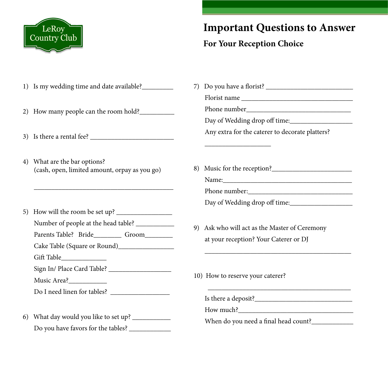

## **Important Questions to Answer**

#### **For Your Reception Choice**

- 1) Is my wedding time and date available?
- 2) How many people can the room hold?
- 3) Is there a rental fee? \_\_\_\_\_\_\_\_\_\_\_\_\_\_\_\_\_\_\_\_\_\_\_\_
- 4) What are the bar options? (cash, open, limited amount, orpay as you go)
- 5) How will the room be set up? \_\_\_\_\_\_\_\_\_\_\_\_\_\_\_\_

\_\_\_\_\_\_\_\_\_\_\_\_\_\_\_\_\_\_\_\_\_\_\_\_\_\_\_\_\_\_\_\_\_\_\_\_\_\_\_\_

- Number of people at the head table? \_\_\_\_\_\_\_\_\_\_\_
- Parents Table? Bride Groom
- Cake Table (Square or Round)\_\_\_\_\_\_\_\_\_\_\_\_\_\_\_\_
- Gift Table\_\_\_\_\_\_\_\_\_\_\_\_\_
- Sign In/ Place Card Table? \_\_\_\_\_\_\_\_\_\_\_\_\_\_\_\_\_\_
- Music Area?\_\_\_\_\_\_\_\_\_\_\_
- Do I need linen for tables? \_\_\_\_\_\_\_\_\_\_\_\_\_\_\_\_\_
- 6) What day would you like to set up? \_\_\_\_\_\_\_\_\_\_\_ Do you have favors for the tables? \_\_\_\_\_\_\_\_\_\_\_\_
- 7) Do you have a florist? \_\_\_\_\_\_\_\_\_\_\_\_\_\_\_\_\_\_\_\_\_\_\_\_\_ Florist name \_\_\_\_\_\_\_\_\_\_\_\_\_\_\_\_\_\_\_\_\_\_\_\_\_\_\_\_\_\_\_\_ Phone number Day of Wedding drop off time:\_\_\_\_\_\_\_\_\_\_\_\_\_\_\_\_\_\_ Any extra for the caterer to decorate platters? \_\_\_\_\_\_\_\_\_\_\_\_\_\_\_\_\_\_\_ 8) Music for the reception?\_\_\_\_\_\_\_\_\_\_\_\_\_\_\_\_\_\_\_\_\_\_\_ Name:\_\_\_\_\_\_\_\_\_\_\_\_\_\_\_\_\_\_\_\_\_\_\_\_\_\_\_\_\_\_\_\_\_\_\_\_\_ Phone number:\_\_\_\_\_\_\_\_\_\_\_\_\_\_\_\_\_\_\_\_\_\_\_\_\_\_\_\_\_\_ Day of Wedding drop off time:\_\_\_\_\_\_\_\_\_\_\_\_\_\_\_\_\_\_ 9) Ask who will act as the Master of Ceremony at your reception? Your Caterer or DJ \_\_\_\_\_\_\_\_\_\_\_\_\_\_\_\_\_\_\_\_\_\_\_\_\_\_\_\_\_\_\_\_\_\_\_\_\_\_\_\_\_\_ 10) How to reserve your caterer? \_\_\_\_\_\_\_\_\_\_\_\_\_\_\_\_\_\_\_\_\_\_\_\_\_\_\_\_\_\_\_\_\_\_\_\_\_\_\_\_\_ Is there a deposit?
	- How much?  $\qquad \qquad$
	- When do you need a final head count?\_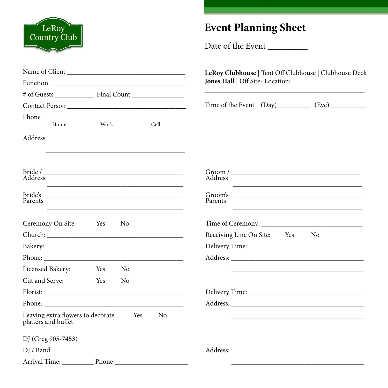

# **Event Planning Sheet**

Date of the Event

| Name of Client                                                                                                                                                                                                                   | LeRoy Clubhouse   Tent Off Clubhouse   Clubhouse Deck                                                                                                         |
|----------------------------------------------------------------------------------------------------------------------------------------------------------------------------------------------------------------------------------|---------------------------------------------------------------------------------------------------------------------------------------------------------------|
|                                                                                                                                                                                                                                  | Jones Hall   Off Site-Location:                                                                                                                               |
|                                                                                                                                                                                                                                  |                                                                                                                                                               |
|                                                                                                                                                                                                                                  |                                                                                                                                                               |
|                                                                                                                                                                                                                                  |                                                                                                                                                               |
| Work<br>Cell<br>Home                                                                                                                                                                                                             |                                                                                                                                                               |
| $\begin{minipage}{.4\linewidth} \textbf{Bride} / \textcolor{red}{\textbf{p}} \end{minipage}$<br>Address<br><u> 1989 - Johann Harry Harry Harry Harry Harry Harry Harry Harry Harry Harry Harry Harry Harry Harry Harry Harry</u> | $Group / \_$<br>Address <sup>-</sup><br><u> 1989 - Johann Harry Harry Harry Harry Harry Harry Harry Harry Harry Harry Harry Harry Harry Harry Harry Harry</u> |
| <b>Bride's</b><br>Parents <sup>-</sup><br><u> 1989 - Johann John Stone, mars eta berriaren 1980an hamarkada (h. 1980).</u>                                                                                                       | Parents<br><u> 1989 - Johann Harry Harry Harry Harry Harry Harry Harry Harry Harry Harry Harry Harry Harry Harry Harry Harry</u>                              |
| Ceremony On Site: Yes No                                                                                                                                                                                                         |                                                                                                                                                               |
|                                                                                                                                                                                                                                  | Receiving Line On Site: Yes<br>N <sub>0</sub>                                                                                                                 |
|                                                                                                                                                                                                                                  |                                                                                                                                                               |
|                                                                                                                                                                                                                                  |                                                                                                                                                               |
| Licensed Bakery:<br>N <sub>o</sub><br>Yes                                                                                                                                                                                        |                                                                                                                                                               |
| Cut and Serve:<br>Yes<br>N <sub>0</sub>                                                                                                                                                                                          |                                                                                                                                                               |
|                                                                                                                                                                                                                                  |                                                                                                                                                               |
|                                                                                                                                                                                                                                  |                                                                                                                                                               |
| Leaving extra flowers to decorate<br>platters and buffet<br>Yes<br>N <sub>o</sub>                                                                                                                                                |                                                                                                                                                               |
| DJ (Greg 905-7453)                                                                                                                                                                                                               |                                                                                                                                                               |
|                                                                                                                                                                                                                                  |                                                                                                                                                               |
|                                                                                                                                                                                                                                  |                                                                                                                                                               |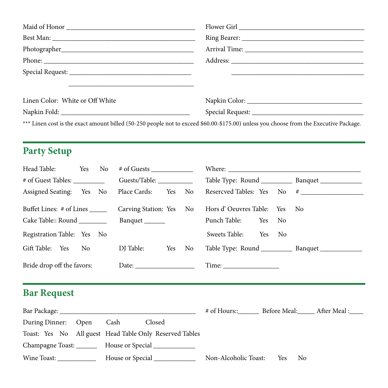| Maid of Honor                                                                                                                          |  |
|----------------------------------------------------------------------------------------------------------------------------------------|--|
|                                                                                                                                        |  |
|                                                                                                                                        |  |
| Phone:                                                                                                                                 |  |
|                                                                                                                                        |  |
|                                                                                                                                        |  |
| Linen Color: White or Off White                                                                                                        |  |
|                                                                                                                                        |  |
| *** Linen cost is the exact amount billed (50-250 people not to exceed \$60.00-\$175.00) unless you choose from the Executive Package. |  |

## **Party Setup**

| Head Table:                                             | Yes No |                              |     |      |                              |     |    |                                                               |
|---------------------------------------------------------|--------|------------------------------|-----|------|------------------------------|-----|----|---------------------------------------------------------------|
| # of Guest Tables: __________                           |        | Guests/Table: ______________ |     |      |                              |     |    |                                                               |
| Assigned Seating: Yes No                                |        | Place Cards:                 | Yes | No   |                              |     |    | Resercved Tables: Yes No #                                    |
| Buffet Lines: # of Lines ______                         |        | Carving Station: Yes No      |     |      | Hors d'Oeuvres Table: Yes No |     |    |                                                               |
| Cake Table:: Round ________                             |        | Banquet ________             |     |      | Punch Table: Yes             |     | No |                                                               |
| Registration Table: Yes No                              |        |                              |     |      | Sweets Table:                | Yes | No |                                                               |
| Gift Table: Yes No                                      |        | DJ Table: Yes                |     | No r |                              |     |    |                                                               |
|                                                         |        |                              |     |      |                              |     |    |                                                               |
| <b>Bar Request</b>                                      |        |                              |     |      |                              |     |    |                                                               |
|                                                         |        |                              |     |      |                              |     |    | # of Hours:: _________ Before Meal: ______ After Meal : _____ |
| During Dinner: Open Cash                                |        | Closed                       |     |      |                              |     |    |                                                               |
| Toast: Yes No All guest Head Table Only Reserved Tables |        |                              |     |      |                              |     |    |                                                               |

| Wine Toast: | House or Special | Non-Alcoholic Toast: Yes | N <sub>0</sub> |
|-------------|------------------|--------------------------|----------------|

Champagne Toast: \_\_\_\_\_\_\_\_ House or Special \_\_\_\_\_\_\_\_\_\_\_\_\_\_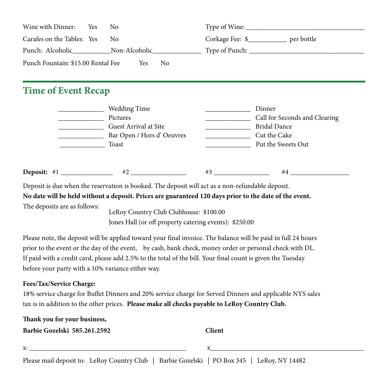| Wine with Dinner:                  | Yes | No.           |     |                | Type of Wine:   |            |
|------------------------------------|-----|---------------|-----|----------------|-----------------|------------|
| Carafes on the Tables: Yes         |     | No.           |     |                | Corkage Fee: \$ | per bottle |
| Punch: Alcoholic                   |     | Non-Alcoholic |     |                | Type of Punch:  |            |
| Punch Fountain: \$15.00 Rental Fee |     |               | Yes | N <sub>0</sub> |                 |            |

### **Time of Event Recap**

|             | <b>Wedding Time</b>       |    | Dinner                        |  |
|-------------|---------------------------|----|-------------------------------|--|
|             | Pictures                  |    | Call for Seconds and Clearing |  |
|             | Guest Arrival at Site     |    | <b>Bridal Dance</b>           |  |
|             | Bar Open / Hors d'Oeuvres |    | Cut the Cake                  |  |
|             | Toast                     |    | Put the Sweets Out            |  |
|             |                           |    |                               |  |
|             |                           |    |                               |  |
| Deposit: #1 | #2                        | #3 | #4                            |  |

Deposit is due when the reservation is booked. The deposit will act as a non-refundable deposit.

**No date will be held without a deposit. Prices are guaranteed 120 days prior to the date of the event.**

The deposits are as follows:

 LeRoy Country Club Clubhouse: \$100.00 Jones Hall (or off property catering events): \$250.00

Please note, the deposit will be applied toward your final invoice. The balance will be paid in full 24 hours prior to the event or the day of the event, by cash, bank check, money order or personal check with DL. If paid with a credit card, please add 2.5% to the total of the bill. Your final count is given the Tuesday before your party with a 10% variance either way.

#### **Fees/Tax/Service Charge:**

18% service charge for Buffet Dinners and 20% service charge for Served Dinners and applicable NYS sales tax is in addition to the other prices. **Please make all checks payable to LeRoy Country Club.**

| Thank you for your business,        |               |
|-------------------------------------|---------------|
| <b>Barbie Gozelski 585.261.2592</b> | <b>Client</b> |

 $x:$   $\cdots$   $\cdots$   $\cdots$   $\cdots$   $\cdots$   $\cdots$   $\cdots$   $\cdots$   $\cdots$   $\cdots$   $\cdots$   $\cdots$   $\cdots$   $\cdots$   $\cdots$   $\cdots$   $\cdots$   $\cdots$   $\cdots$   $\cdots$   $\cdots$   $\cdots$   $\cdots$   $\cdots$   $\cdots$   $\cdots$   $\cdots$   $\cdots$   $\cdots$   $\cdots$   $\cdots$   $\cdots$   $\cdots$   $\cdots$   $\cdots$   $\cdots$